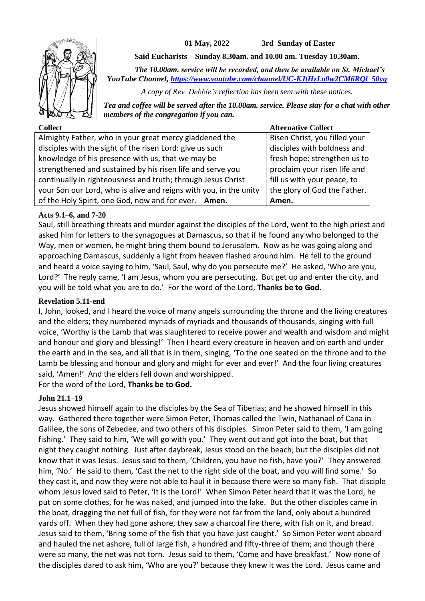

**01 May, 2022 3rd Sunday of Easter**

**Said Eucharists – Sunday 8.30am. and 10.00 am. Tuesday 10.30am.**

*The 10.00am. service will be recorded, and then be available on St. Michael's YouTube Channel, [https://www.youtube.com/channel/UC-KJtHzLo0w2CM6RQl\\_50yg](https://www.youtube.com/channel/UC-KJtHzLo0w2CM6RQl_50yg)*

*A copy of Rev. Debbie's reflection has been sent with these notices.*

*Tea and coffee will be served after the 10.00am. service. Please stay for a chat with other members of the congregation if you can.*

| <b>Collect</b>                                                    | <b>Alternative Collect</b>    |
|-------------------------------------------------------------------|-------------------------------|
| Almighty Father, who in your great mercy gladdened the            | Risen Christ, you filled your |
| disciples with the sight of the risen Lord: give us such          | disciples with boldness and   |
| knowledge of his presence with us, that we may be                 | fresh hope: strengthen us to  |
| strengthened and sustained by his risen life and serve you        | proclaim your risen life and  |
| continually in righteousness and truth; through Jesus Christ      | fill us with your peace, to   |
| your Son our Lord, who is alive and reigns with you, in the unity | the glory of God the Father.  |
| of the Holy Spirit, one God, now and for ever. Amen.              | Amen.                         |

## **Acts 9.1–6, and 7-20**

Saul, still breathing threats and murder against the disciples of the Lord, went to the high priest and asked him for letters to the synagogues at Damascus, so that if he found any who belonged to the Way, men or women, he might bring them bound to Jerusalem. Now as he was going along and approaching Damascus, suddenly a light from heaven flashed around him. He fell to the ground and heard a voice saying to him, 'Saul, Saul, why do you persecute me?' He asked, 'Who are you, Lord?' The reply came, 'I am Jesus, whom you are persecuting. But get up and enter the city, and you will be told what you are to do.' For the word of the Lord, **Thanks be to God.**

### **Revelation 5.11-end**

I, John, looked, and I heard the voice of many angels surrounding the throne and the living creatures and the elders; they numbered myriads of myriads and thousands of thousands, singing with full voice, 'Worthy is the Lamb that was slaughtered to receive power and wealth and wisdom and might and honour and glory and blessing!' Then I heard every creature in heaven and on earth and under the earth and in the sea, and all that is in them, singing, 'To the one seated on the throne and to the Lamb be blessing and honour and glory and might for ever and ever!' And the four living creatures said, 'Amen!' And the elders fell down and worshipped.

For the word of the Lord, **Thanks be to God.**

## **John 21.1–19**

Jesus showed himself again to the disciples by the Sea of Tiberias; and he showed himself in this way. Gathered there together were Simon Peter, Thomas called the Twin, Nathanael of Cana in Galilee, the sons of Zebedee, and two others of his disciples. Simon Peter said to them, 'I am going fishing.' They said to him, 'We will go with you.' They went out and got into the boat, but that night they caught nothing. Just after daybreak, Jesus stood on the beach; but the disciples did not know that it was Jesus. Jesus said to them, 'Children, you have no fish, have you?' They answered him, 'No.' He said to them, 'Cast the net to the right side of the boat, and you will find some.' So they cast it, and now they were not able to haul it in because there were so many fish. That disciple whom Jesus loved said to Peter, 'It is the Lord!' When Simon Peter heard that it was the Lord, he put on some clothes, for he was naked, and jumped into the lake. But the other disciples came in the boat, dragging the net full of fish, for they were not far from the land, only about a hundred yards off. When they had gone ashore, they saw a charcoal fire there, with fish on it, and bread. Jesus said to them, 'Bring some of the fish that you have just caught.' So Simon Peter went aboard and hauled the net ashore, full of large fish, a hundred and fifty-three of them; and though there were so many, the net was not torn. Jesus said to them, 'Come and have breakfast.' Now none of the disciples dared to ask him, 'Who are you?' because they knew it was the Lord. Jesus came and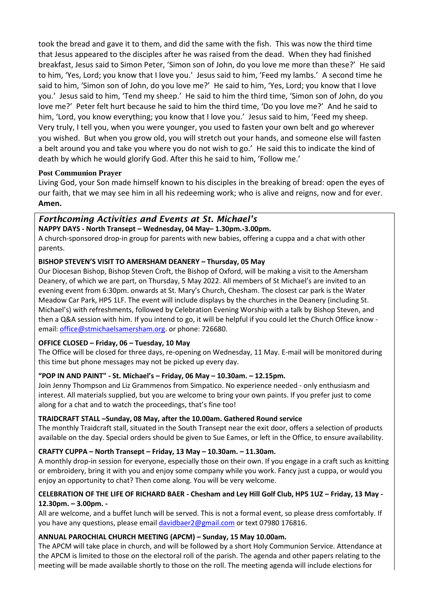took the bread and gave it to them, and did the same with the fish. This was now the third time that Jesus appeared to the disciples after he was raised from the dead. When they had finished breakfast, Jesus said to Simon Peter, 'Simon son of John, do you love me more than these?' He said to him, 'Yes, Lord; you know that I love you.' Jesus said to him, 'Feed my lambs.' A second time he said to him, 'Simon son of John, do you love me?' He said to him, 'Yes, Lord; you know that I love you.' Jesus said to him, 'Tend my sheep.' He said to him the third time, 'Simon son of John, do you love me?' Peter felt hurt because he said to him the third time, 'Do you love me?' And he said to him, 'Lord, you know everything; you know that I love you.' Jesus said to him, 'Feed my sheep. Very truly, I tell you, when you were younger, you used to fasten your own belt and go wherever you wished. But when you grow old, you will stretch out your hands, and someone else will fasten a belt around you and take you where you do not wish to go.' He said this to indicate the kind of death by which he would glorify God. After this he said to him, 'Follow me.'

## **Post Communion Prayer**

Living God, your Son made himself known to his disciples in the breaking of bread: open the eyes of our faith, that we may see him in all his redeeming work; who is alive and reigns, now and for ever. **Amen.**

# *Forthcoming Activities and Events at St. Michael's*

**NAPPY DAYS - North Transept – Wednesday, 04 May– 1.30pm.-3.00pm.**

A church-sponsored drop-in group for parents with new babies, offering a cuppa and a chat with other parents.

## **BISHOP STEVEN'S VISIT TO AMERSHAM DEANERY – Thursday, 05 May**

Our Diocesan Bishop, Bishop Steven Croft, the Bishop of Oxford, will be making a visit to the Amersham Deanery, of which we are part, on Thursday, 5 May 2022. All members of St Michael's are invited to an evening event from 6:30pm. onwards at St. Mary's Church, Chesham. The closest car park is the Water Meadow Car Park, HP5 1LF. The event will include displays by the churches in the Deanery (including St. Michael's) with refreshments, followed by Celebration Evening Worship with a talk by Bishop Steven, and then a Q&A session with him. If you intend to go, it will be helpful if you could let the Church Office know email: [office@stmichaelsamersham.org.](mailto:office@stmichaelsamersham.org) or phone: 726680.

## **OFFICE CLOSED – Friday, 06 – Tuesday, 10 May**

The Office will be closed for three days, re-opening on Wednesday, 11 May. E-mail will be monitored during this time but phone messages may not be picked up every day.

## **"POP IN AND PAINT" - St. Michael's – Friday, 06 May – 10.30am. – 12.15pm.**

Join Jenny Thompson and Liz Grammenos from Simpatico. No experience needed - only enthusiasm and interest. All materials supplied, but you are welcome to bring your own paints. If you prefer just to come along for a chat and to watch the proceedings, that's fine too!

### **TRAIDCRAFT STALL –Sunday, 08 May, after the 10.00am. Gathered Round service**

The monthly Traidcraft stall, situated in the South Transept near the exit door, offers a selection of products available on the day. Special orders should be given to Sue Eames, or left in the Office, to ensure availability.

### **CRAFTY CUPPA – North Transept – Friday, 13 May – 10.30am. – 11.30am.**

A monthly drop-in session for everyone, especially those on their own. If you engage in a craft such as knitting or embroidery, bring it with you and enjoy some company while you work. Fancy just a cuppa, or would you enjoy an opportunity to chat? Then come along. You will be very welcome.

## **CELEBRATION OF THE LIFE OF RICHARD BAER - Chesham and Ley Hill Golf Club, HP5 1UZ – Friday, 13 May - 12.30pm. – 3.00pm. -**

All are welcome, and a buffet lunch will be served. This is not a formal event, so please dress comfortably. If you have any questions, please emai[l davidbaer2@gmail.com](mailto:davidbaer2@gmail.com) or text 07980 176816.

### **ANNUAL PAROCHIAL CHURCH MEETING (APCM) – Sunday, 15 May 10.00am.**

The APCM will take place in church, and will be followed by a short Holy Communion Service. Attendance at the APCM is limited to those on the electoral roll of the parish. The agenda and other papers relating to the meeting will be made available shortly to those on the roll. The meeting agenda will include elections for